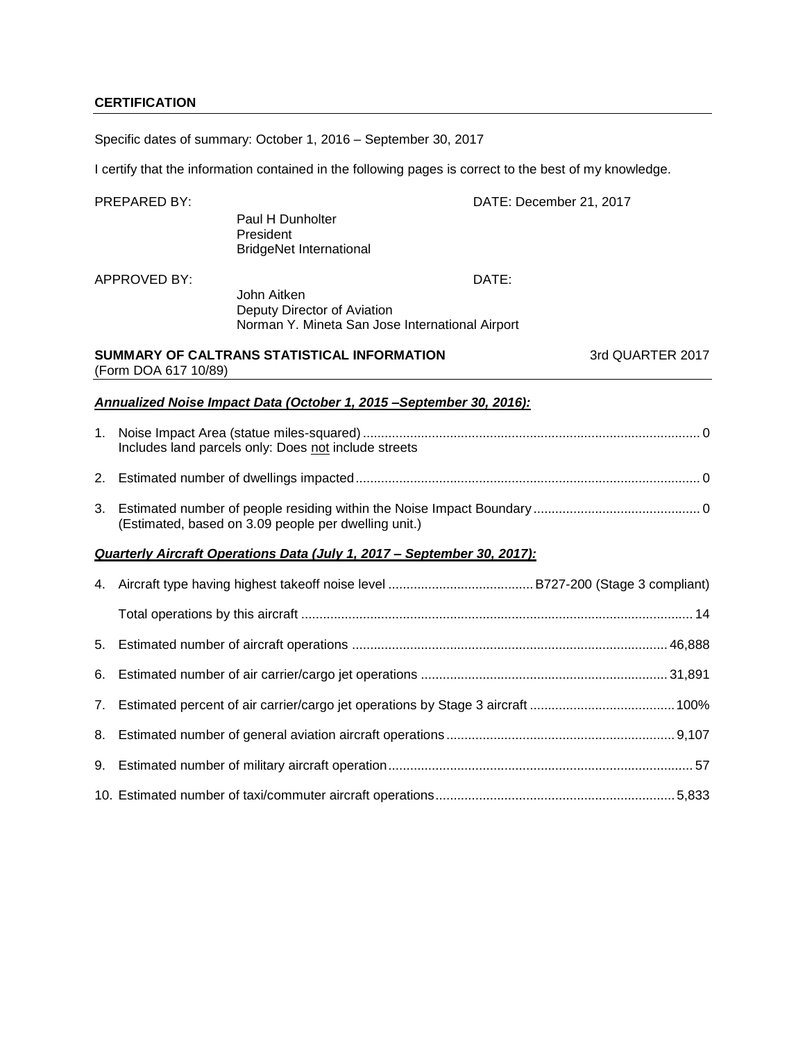## **CERTIFICATION**

Specific dates of summary: October 1, 2016 – September 30, 2017

I certify that the information contained in the following pages is correct to the best of my knowledge.

|    | <b>PREPARED BY:</b>  |                                                                                               | DATE: December 21, 2017 |
|----|----------------------|-----------------------------------------------------------------------------------------------|-------------------------|
|    |                      | Paul H Dunholter<br>President<br><b>BridgeNet International</b>                               |                         |
|    | APPROVED BY:         |                                                                                               | DATE:                   |
|    |                      | John Aitken<br>Deputy Director of Aviation<br>Norman Y. Mineta San Jose International Airport |                         |
|    | (Form DOA 617 10/89) | SUMMARY OF CALTRANS STATISTICAL INFORMATION                                                   | 3rd QUARTER 2017        |
|    |                      | Annualized Noise Impact Data (October 1, 2015 - September 30, 2016):                          |                         |
| 1. |                      | Includes land parcels only: Does not include streets                                          |                         |
| 2. |                      |                                                                                               |                         |
| 3. |                      | (Estimated, based on 3.09 people per dwelling unit.)                                          |                         |
|    |                      | Quarterly Aircraft Operations Data (July 1, 2017 - September 30, 2017):                       |                         |
|    |                      |                                                                                               |                         |
|    |                      |                                                                                               |                         |
| 5. |                      |                                                                                               |                         |
| 6. |                      |                                                                                               |                         |
| 7. |                      |                                                                                               |                         |
| 8. |                      |                                                                                               |                         |
|    |                      |                                                                                               |                         |
|    |                      |                                                                                               |                         |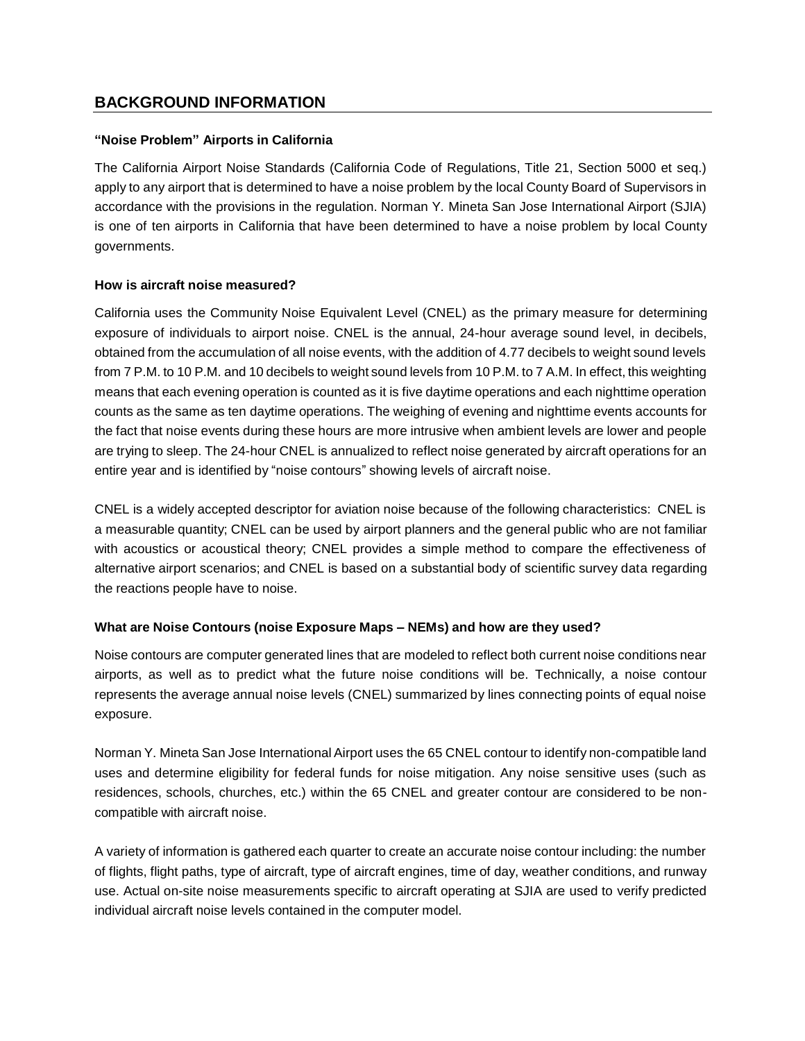## **BACKGROUND INFORMATION**

## **"Noise Problem" Airports in California**

The California Airport Noise Standards (California Code of Regulations, Title 21, Section 5000 et seq.) apply to any airport that is determined to have a noise problem by the local County Board of Supervisors in accordance with the provisions in the regulation. Norman Y. Mineta San Jose International Airport (SJIA) is one of ten airports in California that have been determined to have a noise problem by local County governments.

## **How is aircraft noise measured?**

California uses the Community Noise Equivalent Level (CNEL) as the primary measure for determining exposure of individuals to airport noise. CNEL is the annual, 24-hour average sound level, in decibels, obtained from the accumulation of all noise events, with the addition of 4.77 decibels to weight sound levels from 7 P.M. to 10 P.M. and 10 decibels to weight sound levels from 10 P.M. to 7 A.M. In effect, this weighting means that each evening operation is counted as it is five daytime operations and each nighttime operation counts as the same as ten daytime operations. The weighing of evening and nighttime events accounts for the fact that noise events during these hours are more intrusive when ambient levels are lower and people are trying to sleep. The 24-hour CNEL is annualized to reflect noise generated by aircraft operations for an entire year and is identified by "noise contours" showing levels of aircraft noise.

CNEL is a widely accepted descriptor for aviation noise because of the following characteristics: CNEL is a measurable quantity; CNEL can be used by airport planners and the general public who are not familiar with acoustics or acoustical theory; CNEL provides a simple method to compare the effectiveness of alternative airport scenarios; and CNEL is based on a substantial body of scientific survey data regarding the reactions people have to noise.

## **What are Noise Contours (noise Exposure Maps – NEMs) and how are they used?**

Noise contours are computer generated lines that are modeled to reflect both current noise conditions near airports, as well as to predict what the future noise conditions will be. Technically, a noise contour represents the average annual noise levels (CNEL) summarized by lines connecting points of equal noise exposure.

Norman Y. Mineta San Jose International Airport uses the 65 CNEL contour to identify non-compatible land uses and determine eligibility for federal funds for noise mitigation. Any noise sensitive uses (such as residences, schools, churches, etc.) within the 65 CNEL and greater contour are considered to be noncompatible with aircraft noise.

A variety of information is gathered each quarter to create an accurate noise contour including: the number of flights, flight paths, type of aircraft, type of aircraft engines, time of day, weather conditions, and runway use. Actual on-site noise measurements specific to aircraft operating at SJIA are used to verify predicted individual aircraft noise levels contained in the computer model.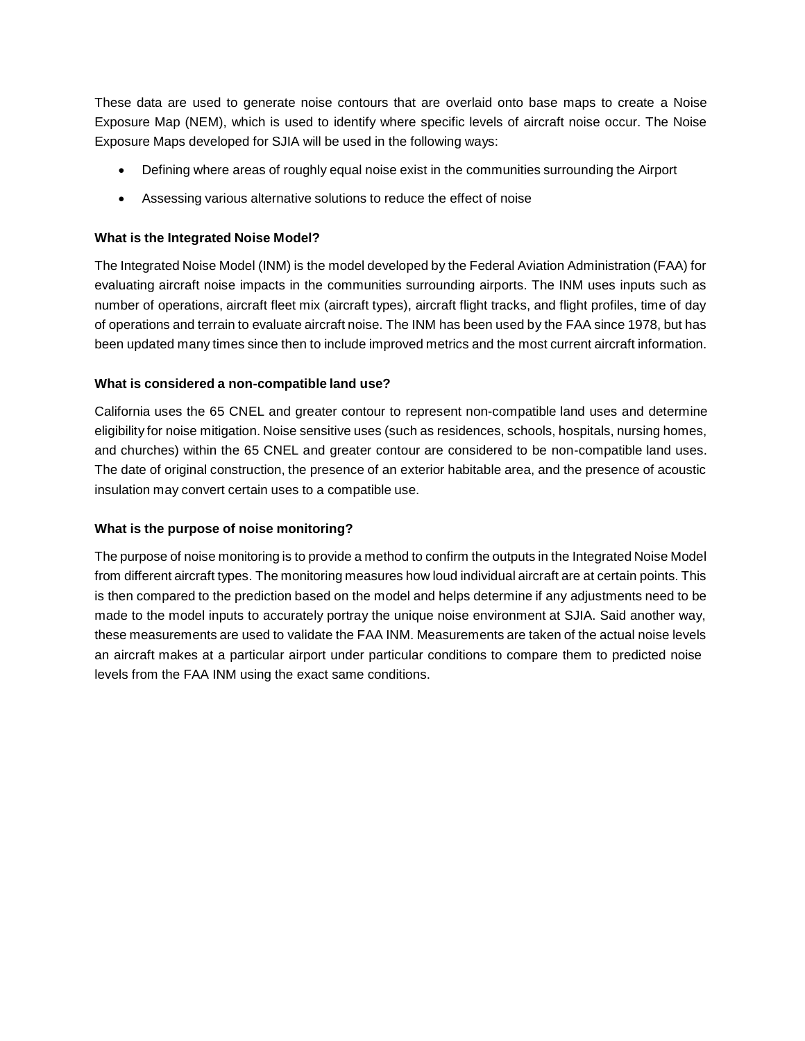These data are used to generate noise contours that are overlaid onto base maps to create a Noise Exposure Map (NEM), which is used to identify where specific levels of aircraft noise occur. The Noise Exposure Maps developed for SJIA will be used in the following ways:

- Defining where areas of roughly equal noise exist in the communities surrounding the Airport
- Assessing various alternative solutions to reduce the effect of noise

## **What is the Integrated Noise Model?**

The Integrated Noise Model (INM) is the model developed by the Federal Aviation Administration (FAA) for evaluating aircraft noise impacts in the communities surrounding airports. The INM uses inputs such as number of operations, aircraft fleet mix (aircraft types), aircraft flight tracks, and flight profiles, time of day of operations and terrain to evaluate aircraft noise. The INM has been used by the FAA since 1978, but has been updated many times since then to include improved metrics and the most current aircraft information.

### **What is considered a non-compatible land use?**

California uses the 65 CNEL and greater contour to represent non-compatible land uses and determine eligibility for noise mitigation. Noise sensitive uses (such as residences, schools, hospitals, nursing homes, and churches) within the 65 CNEL and greater contour are considered to be non-compatible land uses. The date of original construction, the presence of an exterior habitable area, and the presence of acoustic insulation may convert certain uses to a compatible use.

### **What is the purpose of noise monitoring?**

The purpose of noise monitoring is to provide a method to confirm the outputs in the Integrated Noise Model from different aircraft types. The monitoring measures how loud individual aircraft are at certain points. This is then compared to the prediction based on the model and helps determine if any adjustments need to be made to the model inputs to accurately portray the unique noise environment at SJIA. Said another way, these measurements are used to validate the FAA INM. Measurements are taken of the actual noise levels an aircraft makes at a particular airport under particular conditions to compare them to predicted noise levels from the FAA INM using the exact same conditions.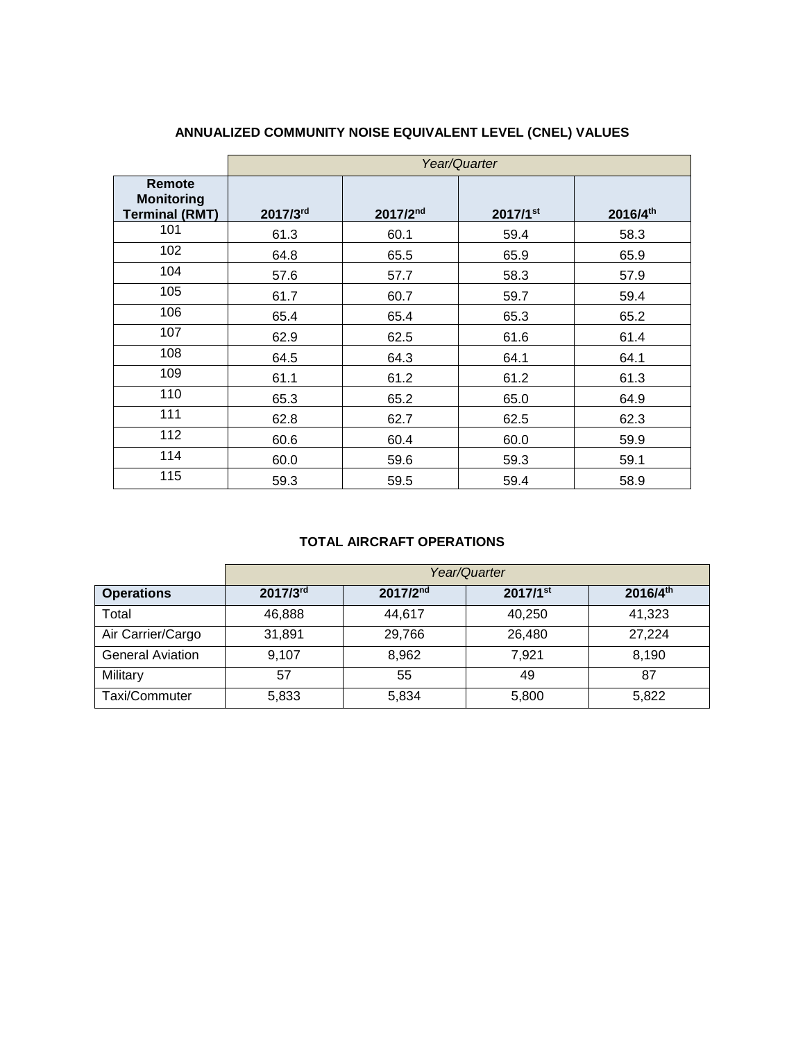|                                                      | Year/Quarter |          |          |          |  |  |  |  |  |  |  |
|------------------------------------------------------|--------------|----------|----------|----------|--|--|--|--|--|--|--|
| Remote<br><b>Monitoring</b><br><b>Terminal (RMT)</b> | 2017/3rd     | 2017/2nd | 2017/1st | 2016/4th |  |  |  |  |  |  |  |
| 101                                                  | 61.3         | 60.1     | 59.4     | 58.3     |  |  |  |  |  |  |  |
| 102                                                  | 64.8         | 65.5     | 65.9     | 65.9     |  |  |  |  |  |  |  |
| 104                                                  | 57.6         | 57.7     | 58.3     | 57.9     |  |  |  |  |  |  |  |
| 105                                                  | 61.7         | 60.7     | 59.7     | 59.4     |  |  |  |  |  |  |  |
| 106                                                  | 65.4         | 65.4     | 65.3     | 65.2     |  |  |  |  |  |  |  |
| 107                                                  | 62.9         | 62.5     | 61.6     | 61.4     |  |  |  |  |  |  |  |
| 108                                                  | 64.5         | 64.3     | 64.1     | 64.1     |  |  |  |  |  |  |  |
| 109                                                  | 61.1         | 61.2     | 61.2     | 61.3     |  |  |  |  |  |  |  |
| 110                                                  | 65.3         | 65.2     | 65.0     | 64.9     |  |  |  |  |  |  |  |
| 111                                                  | 62.8         | 62.7     | 62.5     | 62.3     |  |  |  |  |  |  |  |
| 112                                                  | 60.6         | 60.4     | 60.0     | 59.9     |  |  |  |  |  |  |  |
| 114                                                  | 60.0         | 59.6     | 59.3     | 59.1     |  |  |  |  |  |  |  |
| 115                                                  | 59.3         | 59.5     | 59.4     | 58.9     |  |  |  |  |  |  |  |

# **ANNUALIZED COMMUNITY NOISE EQUIVALENT LEVEL (CNEL) VALUES**

## **TOTAL AIRCRAFT OPERATIONS**

|                         | Year/Quarter |          |                        |          |  |  |  |  |  |  |  |
|-------------------------|--------------|----------|------------------------|----------|--|--|--|--|--|--|--|
| <b>Operations</b>       | 2017/3rd     | 2017/2nd | $2017/1$ <sup>st</sup> | 2016/4th |  |  |  |  |  |  |  |
| Total                   | 46,888       | 44.617   | 40,250                 | 41,323   |  |  |  |  |  |  |  |
| Air Carrier/Cargo       | 31,891       | 29,766   | 26,480                 |          |  |  |  |  |  |  |  |
| <b>General Aviation</b> | 9,107        | 8,962    | 7,921                  | 8,190    |  |  |  |  |  |  |  |
| Military                | 57           | 55       | 49                     | 87       |  |  |  |  |  |  |  |
| Taxi/Commuter           | 5,833        | 5,834    | 5,800                  | 5,822    |  |  |  |  |  |  |  |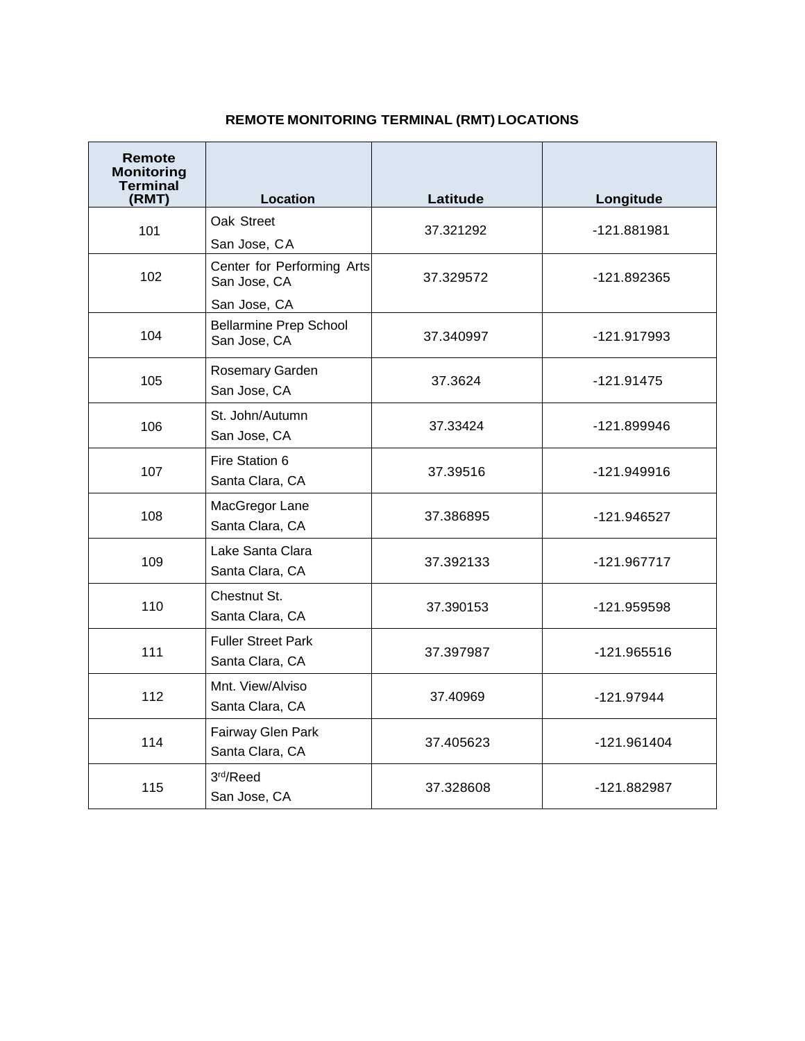# **REMOTE MONITORING TERMINAL (RMT) LOCATIONS**

| Remote<br><b>Monitoring</b><br><b>Terminal</b><br>(RMT) | Location                                                      | Latitude  | Longitude     |  |  |
|---------------------------------------------------------|---------------------------------------------------------------|-----------|---------------|--|--|
| 101                                                     | Oak Street<br>San Jose, CA                                    | 37.321292 | -121.881981   |  |  |
| 102                                                     | Center for Performing Arts<br>San Jose, CA                    | 37.329572 | -121.892365   |  |  |
| 104                                                     | San Jose, CA<br><b>Bellarmine Prep School</b><br>San Jose, CA | 37.340997 | -121.917993   |  |  |
| 105                                                     | Rosemary Garden<br>San Jose, CA                               | 37.3624   | $-121.91475$  |  |  |
| 106                                                     | St. John/Autumn<br>San Jose, CA                               | 37.33424  | -121.899946   |  |  |
| 107                                                     | Fire Station 6<br>Santa Clara, CA                             | 37.39516  | -121.949916   |  |  |
| 108                                                     | MacGregor Lane<br>Santa Clara, CA                             | 37.386895 | -121.946527   |  |  |
| 109                                                     | Lake Santa Clara<br>Santa Clara, CA                           | 37.392133 | -121.967717   |  |  |
| 110                                                     | Chestnut St.<br>Santa Clara, CA                               | 37.390153 | -121.959598   |  |  |
| 111                                                     | <b>Fuller Street Park</b><br>Santa Clara, CA                  | 37.397987 | -121.965516   |  |  |
| 112                                                     | Mnt. View/Alviso<br>Santa Clara, CA                           | 37.40969  | $-121.97944$  |  |  |
| 114                                                     | Fairway Glen Park<br>Santa Clara, CA                          | 37.405623 | $-121.961404$ |  |  |
| 115                                                     | 3rd/Reed<br>San Jose, CA                                      | 37.328608 | -121.882987   |  |  |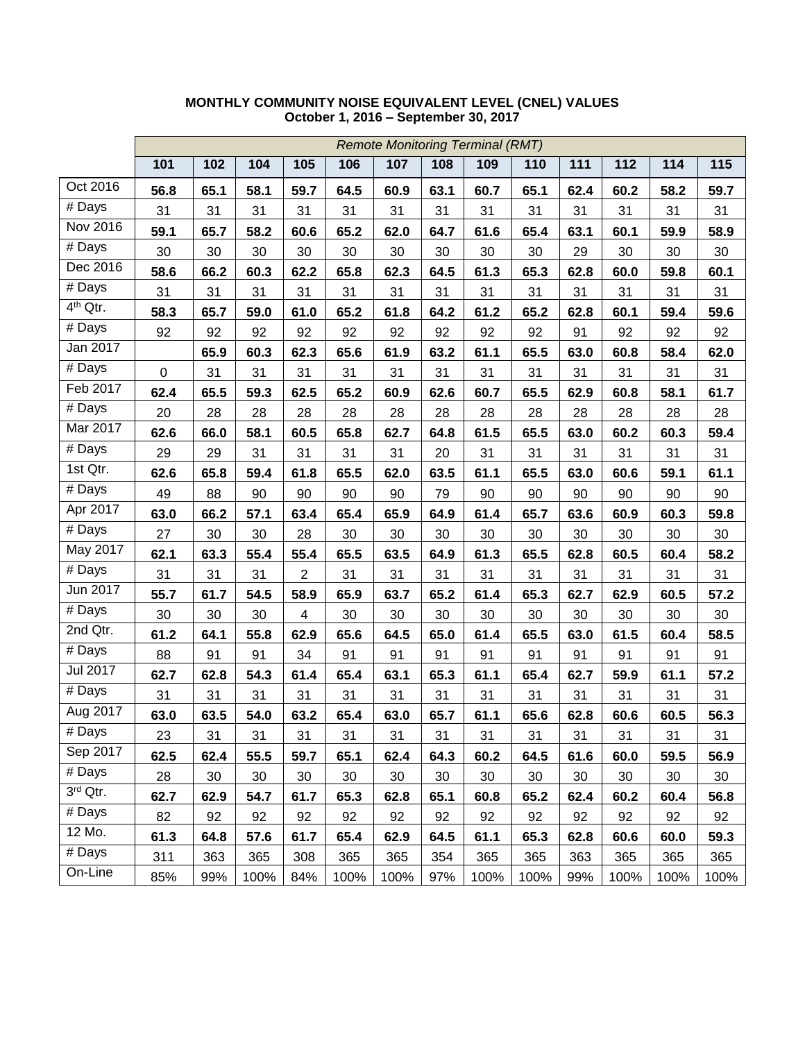|                           |           | <b>Remote Monitoring Terminal (RMT)</b> |      |                |      |      |      |      |        |      |      |      |      |
|---------------------------|-----------|-----------------------------------------|------|----------------|------|------|------|------|--------|------|------|------|------|
|                           | 101       | 102                                     | 104  | 105            | 106  | 107  | 108  | 109  | 110    | 111  | 112  | 114  | 115  |
| Oct 2016                  | 56.8      | 65.1                                    | 58.1 | 59.7           | 64.5 | 60.9 | 63.1 | 60.7 | 65.1   | 62.4 | 60.2 | 58.2 | 59.7 |
| # Days                    | 31        | 31                                      | 31   | 31             | 31   | 31   | 31   | 31   | 31     | 31   | 31   | 31   | 31   |
| Nov 2016                  | 59.1      | 65.7                                    | 58.2 | 60.6           | 65.2 | 62.0 | 64.7 | 61.6 | 65.4   | 63.1 | 60.1 | 59.9 | 58.9 |
| # Days                    | 30        | 30                                      | 30   | 30             | 30   | 30   | 30   | 30   | 30     | 29   | 30   | 30   | 30   |
| Dec 2016                  | 58.6      | 66.2                                    | 60.3 | 62.2           | 65.8 | 62.3 | 64.5 | 61.3 | 65.3   | 62.8 | 60.0 | 59.8 | 60.1 |
| # Days                    | 31        | 31                                      | 31   | 31             | 31   | 31   | 31   | 31   | 31     | 31   | 31   | 31   | 31   |
| 4 <sup>th</sup> Qtr.      | 58.3      | 65.7                                    | 59.0 | 61.0           | 65.2 | 61.8 | 64.2 | 61.2 | 65.2   | 62.8 | 60.1 | 59.4 | 59.6 |
| # Days                    | 92        | 92                                      | 92   | 92             | 92   | 92   | 92   | 92   | 92     | 91   | 92   | 92   | 92   |
| Jan 2017                  |           | 65.9                                    | 60.3 | 62.3           | 65.6 | 61.9 | 63.2 | 61.1 | 65.5   | 63.0 | 60.8 | 58.4 | 62.0 |
| # Days                    | $\pmb{0}$ | 31                                      | 31   | 31             | 31   | 31   | 31   | 31   | 31     | 31   | 31   | 31   | 31   |
| Feb 2017                  | 62.4      | 65.5                                    | 59.3 | 62.5           | 65.2 | 60.9 | 62.6 | 60.7 | 65.5   | 62.9 | 60.8 | 58.1 | 61.7 |
| # Days                    | 20        | 28                                      | 28   | 28             | 28   | 28   | 28   | 28   | 28     | 28   | 28   | 28   | 28   |
| Mar 2017                  | 62.6      | 66.0                                    | 58.1 | 60.5           | 65.8 | 62.7 | 64.8 | 61.5 | 65.5   | 63.0 | 60.2 | 60.3 | 59.4 |
| $\overline{\#}$ Days      | 29        | 29                                      | 31   | 31             | 31   | 31   | 20   | 31   | 31     | 31   | 31   | 31   | 31   |
| 1st Qtr.                  | 62.6      | 65.8                                    | 59.4 | 61.8           | 65.5 | 62.0 | 63.5 | 61.1 | 65.5   | 63.0 | 60.6 | 59.1 | 61.1 |
| $\overline{\#}$ Days      | 49        | 88                                      | 90   | 90             | 90   | 90   | 79   | 90   | 90     | 90   | 90   | 90   | 90   |
| Apr 2017                  | 63.0      | 66.2                                    | 57.1 | 63.4           | 65.4 | 65.9 | 64.9 | 61.4 | 65.7   | 63.6 | 60.9 | 60.3 | 59.8 |
| $\overline{\text{#}$ Days | 27        | 30                                      | 30   | 28             | 30   | 30   | 30   | 30   | 30     | 30   | 30   | 30   | 30   |
| May 2017                  | 62.1      | 63.3                                    | 55.4 | 55.4           | 65.5 | 63.5 | 64.9 | 61.3 | 65.5   | 62.8 | 60.5 | 60.4 | 58.2 |
| # Days                    | 31        | 31                                      | 31   | $\overline{2}$ | 31   | 31   | 31   | 31   | 31     | 31   | 31   | 31   | 31   |
| Jun 2017                  | 55.7      | 61.7                                    | 54.5 | 58.9           | 65.9 | 63.7 | 65.2 | 61.4 | 65.3   | 62.7 | 62.9 | 60.5 | 57.2 |
| # Days                    | 30        | 30                                      | 30   | 4              | 30   | 30   | 30   | 30   | 30     | 30   | 30   | 30   | 30   |
| 2nd Qtr.                  | 61.2      | 64.1                                    | 55.8 | 62.9           | 65.6 | 64.5 | 65.0 | 61.4 | 65.5   | 63.0 | 61.5 | 60.4 | 58.5 |
| # Days                    | 88        | 91                                      | 91   | 34             | 91   | 91   | 91   | 91   | 91     | 91   | 91   | 91   | 91   |
| Jul 2017                  | 62.7      | 62.8                                    | 54.3 | 61.4           | 65.4 | 63.1 | 65.3 | 61.1 | 65.4   | 62.7 | 59.9 | 61.1 | 57.2 |
| # Days                    | 31        | 31                                      | 31   | 31             | 31   | 31   | 31   | 31   | 31     | 31   | 31   | 31   | 31   |
| Aug 2017                  | 63.0      | 63.5                                    | 54.0 | 63.2           | 65.4 | 63.0 | 65.7 | 61.1 | 65.6   | 62.8 | 60.6 | 60.5 | 56.3 |
| # Days                    | 23        | 31                                      | 31   | 31             | 31   | 31   | 31   | 31   | 31     | 31   | 31   | 31   | 31   |
| Sep 2017                  | 62.5      | 62.4                                    | 55.5 | 59.7           | 65.1 | 62.4 | 64.3 | 60.2 | 64.5   | 61.6 | 60.0 | 59.5 | 56.9 |
| # Days                    | 28        | 30                                      | 30   | 30             | 30   | 30   | 30   | 30   | $30\,$ | 30   | 30   | 30   | 30   |
| 3rd Qtr.                  | 62.7      | 62.9                                    | 54.7 | 61.7           | 65.3 | 62.8 | 65.1 | 60.8 | 65.2   | 62.4 | 60.2 | 60.4 | 56.8 |
| # Days                    | 82        | 92                                      | 92   | 92             | 92   | 92   | 92   | 92   | 92     | 92   | 92   | 92   | 92   |
| 12 Mo.                    | 61.3      | 64.8                                    | 57.6 | 61.7           | 65.4 | 62.9 | 64.5 | 61.1 | 65.3   | 62.8 | 60.6 | 60.0 | 59.3 |
| # Days                    | 311       | 363                                     | 365  | 308            | 365  | 365  | 354  | 365  | 365    | 363  | 365  | 365  | 365  |
| On-Line                   | 85%       | 99%                                     | 100% | 84%            | 100% | 100% | 97%  | 100% | 100%   | 99%  | 100% | 100% | 100% |

### **MONTHLY COMMUNITY NOISE EQUIVALENT LEVEL (CNEL) VALUES October 1, 2016 – September 30, 2017**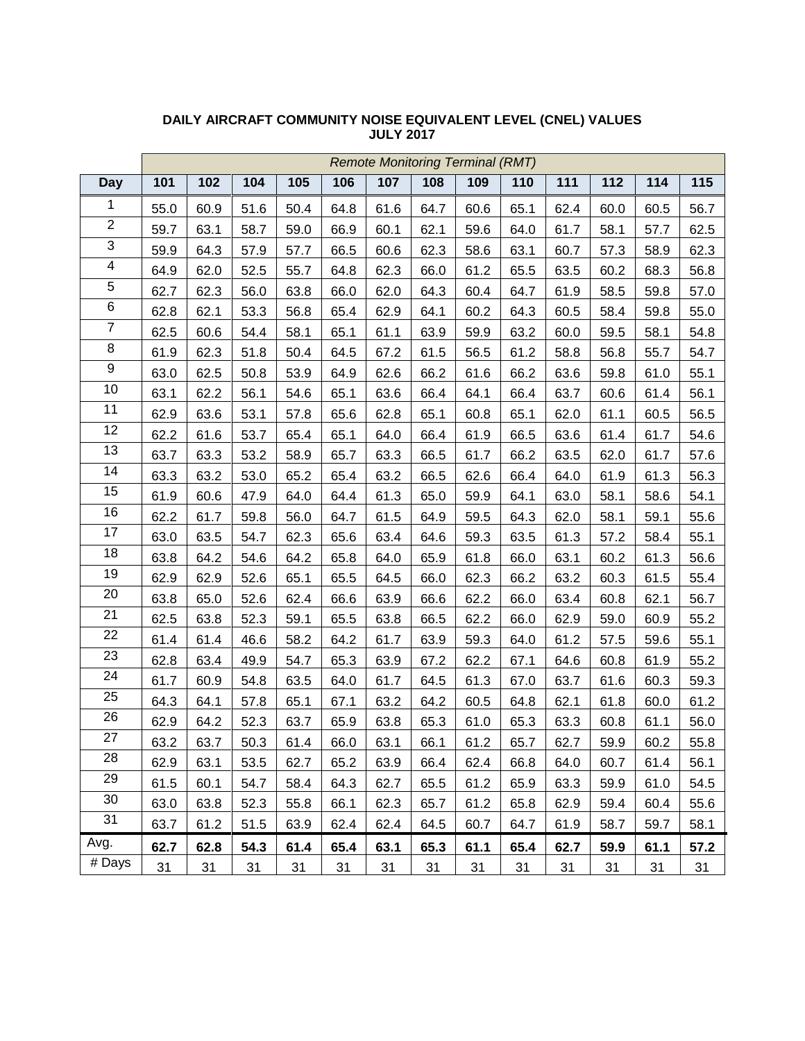|                         | <b>Remote Monitoring Terminal (RMT)</b> |      |      |      |      |      |      |      |      |      |      |      |      |
|-------------------------|-----------------------------------------|------|------|------|------|------|------|------|------|------|------|------|------|
| <b>Day</b>              | 101                                     | 102  | 104  | 105  | 106  | 107  | 108  | 109  | 110  | 111  | 112  | 114  | 115  |
| $\mathbf{1}$            | 55.0                                    | 60.9 | 51.6 | 50.4 | 64.8 | 61.6 | 64.7 | 60.6 | 65.1 | 62.4 | 60.0 | 60.5 | 56.7 |
| $\overline{2}$          | 59.7                                    | 63.1 | 58.7 | 59.0 | 66.9 | 60.1 | 62.1 | 59.6 | 64.0 | 61.7 | 58.1 | 57.7 | 62.5 |
| 3                       | 59.9                                    | 64.3 | 57.9 | 57.7 | 66.5 | 60.6 | 62.3 | 58.6 | 63.1 | 60.7 | 57.3 | 58.9 | 62.3 |
| $\overline{\mathbf{4}}$ | 64.9                                    | 62.0 | 52.5 | 55.7 | 64.8 | 62.3 | 66.0 | 61.2 | 65.5 | 63.5 | 60.2 | 68.3 | 56.8 |
| $\overline{5}$          | 62.7                                    | 62.3 | 56.0 | 63.8 | 66.0 | 62.0 | 64.3 | 60.4 | 64.7 | 61.9 | 58.5 | 59.8 | 57.0 |
| 6                       | 62.8                                    | 62.1 | 53.3 | 56.8 | 65.4 | 62.9 | 64.1 | 60.2 | 64.3 | 60.5 | 58.4 | 59.8 | 55.0 |
| $\overline{7}$          | 62.5                                    | 60.6 | 54.4 | 58.1 | 65.1 | 61.1 | 63.9 | 59.9 | 63.2 | 60.0 | 59.5 | 58.1 | 54.8 |
| $\,8\,$                 | 61.9                                    | 62.3 | 51.8 | 50.4 | 64.5 | 67.2 | 61.5 | 56.5 | 61.2 | 58.8 | 56.8 | 55.7 | 54.7 |
| $\boldsymbol{9}$        | 63.0                                    | 62.5 | 50.8 | 53.9 | 64.9 | 62.6 | 66.2 | 61.6 | 66.2 | 63.6 | 59.8 | 61.0 | 55.1 |
| $10$                    | 63.1                                    | 62.2 | 56.1 | 54.6 | 65.1 | 63.6 | 66.4 | 64.1 | 66.4 | 63.7 | 60.6 | 61.4 | 56.1 |
| 11                      | 62.9                                    | 63.6 | 53.1 | 57.8 | 65.6 | 62.8 | 65.1 | 60.8 | 65.1 | 62.0 | 61.1 | 60.5 | 56.5 |
| 12                      | 62.2                                    | 61.6 | 53.7 | 65.4 | 65.1 | 64.0 | 66.4 | 61.9 | 66.5 | 63.6 | 61.4 | 61.7 | 54.6 |
| 13                      | 63.7                                    | 63.3 | 53.2 | 58.9 | 65.7 | 63.3 | 66.5 | 61.7 | 66.2 | 63.5 | 62.0 | 61.7 | 57.6 |
| 14                      | 63.3                                    | 63.2 | 53.0 | 65.2 | 65.4 | 63.2 | 66.5 | 62.6 | 66.4 | 64.0 | 61.9 | 61.3 | 56.3 |
| 15                      | 61.9                                    | 60.6 | 47.9 | 64.0 | 64.4 | 61.3 | 65.0 | 59.9 | 64.1 | 63.0 | 58.1 | 58.6 | 54.1 |
| 16                      | 62.2                                    | 61.7 | 59.8 | 56.0 | 64.7 | 61.5 | 64.9 | 59.5 | 64.3 | 62.0 | 58.1 | 59.1 | 55.6 |
| 17                      | 63.0                                    | 63.5 | 54.7 | 62.3 | 65.6 | 63.4 | 64.6 | 59.3 | 63.5 | 61.3 | 57.2 | 58.4 | 55.1 |
| 18                      | 63.8                                    | 64.2 | 54.6 | 64.2 | 65.8 | 64.0 | 65.9 | 61.8 | 66.0 | 63.1 | 60.2 | 61.3 | 56.6 |
| 19                      | 62.9                                    | 62.9 | 52.6 | 65.1 | 65.5 | 64.5 | 66.0 | 62.3 | 66.2 | 63.2 | 60.3 | 61.5 | 55.4 |
| 20                      | 63.8                                    | 65.0 | 52.6 | 62.4 | 66.6 | 63.9 | 66.6 | 62.2 | 66.0 | 63.4 | 60.8 | 62.1 | 56.7 |
| 21                      | 62.5                                    | 63.8 | 52.3 | 59.1 | 65.5 | 63.8 | 66.5 | 62.2 | 66.0 | 62.9 | 59.0 | 60.9 | 55.2 |
| 22                      | 61.4                                    | 61.4 | 46.6 | 58.2 | 64.2 | 61.7 | 63.9 | 59.3 | 64.0 | 61.2 | 57.5 | 59.6 | 55.1 |
| 23                      | 62.8                                    | 63.4 | 49.9 | 54.7 | 65.3 | 63.9 | 67.2 | 62.2 | 67.1 | 64.6 | 60.8 | 61.9 | 55.2 |
| 24                      | 61.7                                    | 60.9 | 54.8 | 63.5 | 64.0 | 61.7 | 64.5 | 61.3 | 67.0 | 63.7 | 61.6 | 60.3 | 59.3 |
| 25                      | 64.3                                    | 64.1 | 57.8 | 65.1 | 67.1 | 63.2 | 64.2 | 60.5 | 64.8 | 62.1 | 61.8 | 60.0 | 61.2 |
| 26                      | 62.9                                    | 64.2 | 52.3 | 63.7 | 65.9 | 63.8 | 65.3 | 61.0 | 65.3 | 63.3 | 60.8 | 61.1 | 56.0 |
| $\overline{27}$         | 63.2                                    | 63.7 | 50.3 | 61.4 | 66.0 | 63.1 | 66.1 | 61.2 | 65.7 | 62.7 | 59.9 | 60.2 | 55.8 |
| 28                      | 62.9                                    | 63.1 | 53.5 | 62.7 | 65.2 | 63.9 | 66.4 | 62.4 | 66.8 | 64.0 | 60.7 | 61.4 | 56.1 |
| 29                      | 61.5                                    | 60.1 | 54.7 | 58.4 | 64.3 | 62.7 | 65.5 | 61.2 | 65.9 | 63.3 | 59.9 | 61.0 | 54.5 |
| 30                      | 63.0                                    | 63.8 | 52.3 | 55.8 | 66.1 | 62.3 | 65.7 | 61.2 | 65.8 | 62.9 | 59.4 | 60.4 | 55.6 |
| 31                      | 63.7                                    | 61.2 | 51.5 | 63.9 | 62.4 | 62.4 | 64.5 | 60.7 | 64.7 | 61.9 | 58.7 | 59.7 | 58.1 |
| Avg.                    | 62.7                                    | 62.8 | 54.3 | 61.4 | 65.4 | 63.1 | 65.3 | 61.1 | 65.4 | 62.7 | 59.9 | 61.1 | 57.2 |
| # Days                  | 31                                      | 31   | 31   | 31   | 31   | 31   | 31   | 31   | 31   | 31   | 31   | 31   | 31   |

#### **DAILY AIRCRAFT COMMUNITY NOISE EQUIVALENT LEVEL (CNEL) VALUES JULY 2017**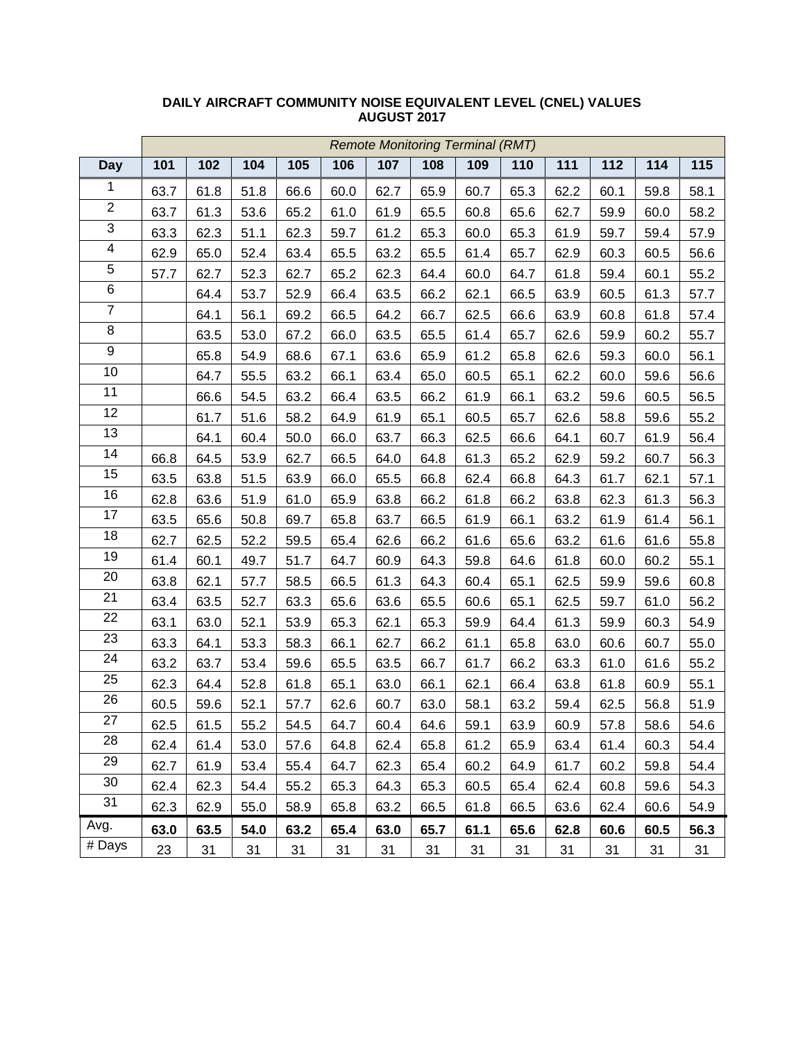|                | <b>Remote Monitoring Terminal (RMT)</b> |      |      |      |      |      |      |      |      |      |      |      |      |
|----------------|-----------------------------------------|------|------|------|------|------|------|------|------|------|------|------|------|
| <b>Day</b>     | 101                                     | 102  | 104  | 105  | 106  | 107  | 108  | 109  | 110  | 111  | 112  | 114  | 115  |
| 1              | 63.7                                    | 61.8 | 51.8 | 66.6 | 60.0 | 62.7 | 65.9 | 60.7 | 65.3 | 62.2 | 60.1 | 59.8 | 58.1 |
| $\overline{2}$ | 63.7                                    | 61.3 | 53.6 | 65.2 | 61.0 | 61.9 | 65.5 | 60.8 | 65.6 | 62.7 | 59.9 | 60.0 | 58.2 |
| $\overline{3}$ | 63.3                                    | 62.3 | 51.1 | 62.3 | 59.7 | 61.2 | 65.3 | 60.0 | 65.3 | 61.9 | 59.7 | 59.4 | 57.9 |
| $\overline{4}$ | 62.9                                    | 65.0 | 52.4 | 63.4 | 65.5 | 63.2 | 65.5 | 61.4 | 65.7 | 62.9 | 60.3 | 60.5 | 56.6 |
| $\overline{5}$ | 57.7                                    | 62.7 | 52.3 | 62.7 | 65.2 | 62.3 | 64.4 | 60.0 | 64.7 | 61.8 | 59.4 | 60.1 | 55.2 |
| $\,6$          |                                         | 64.4 | 53.7 | 52.9 | 66.4 | 63.5 | 66.2 | 62.1 | 66.5 | 63.9 | 60.5 | 61.3 | 57.7 |
| $\overline{7}$ |                                         | 64.1 | 56.1 | 69.2 | 66.5 | 64.2 | 66.7 | 62.5 | 66.6 | 63.9 | 60.8 | 61.8 | 57.4 |
| $\bf 8$        |                                         | 63.5 | 53.0 | 67.2 | 66.0 | 63.5 | 65.5 | 61.4 | 65.7 | 62.6 | 59.9 | 60.2 | 55.7 |
| $\overline{9}$ |                                         | 65.8 | 54.9 | 68.6 | 67.1 | 63.6 | 65.9 | 61.2 | 65.8 | 62.6 | 59.3 | 60.0 | 56.1 |
| 10             |                                         | 64.7 | 55.5 | 63.2 | 66.1 | 63.4 | 65.0 | 60.5 | 65.1 | 62.2 | 60.0 | 59.6 | 56.6 |
| 11             |                                         | 66.6 | 54.5 | 63.2 | 66.4 | 63.5 | 66.2 | 61.9 | 66.1 | 63.2 | 59.6 | 60.5 | 56.5 |
| 12             |                                         | 61.7 | 51.6 | 58.2 | 64.9 | 61.9 | 65.1 | 60.5 | 65.7 | 62.6 | 58.8 | 59.6 | 55.2 |
| 13             |                                         | 64.1 | 60.4 | 50.0 | 66.0 | 63.7 | 66.3 | 62.5 | 66.6 | 64.1 | 60.7 | 61.9 | 56.4 |
| 14             | 66.8                                    | 64.5 | 53.9 | 62.7 | 66.5 | 64.0 | 64.8 | 61.3 | 65.2 | 62.9 | 59.2 | 60.7 | 56.3 |
| 15             | 63.5                                    | 63.8 | 51.5 | 63.9 | 66.0 | 65.5 | 66.8 | 62.4 | 66.8 | 64.3 | 61.7 | 62.1 | 57.1 |
| 16             | 62.8                                    | 63.6 | 51.9 | 61.0 | 65.9 | 63.8 | 66.2 | 61.8 | 66.2 | 63.8 | 62.3 | 61.3 | 56.3 |
| 17             | 63.5                                    | 65.6 | 50.8 | 69.7 | 65.8 | 63.7 | 66.5 | 61.9 | 66.1 | 63.2 | 61.9 | 61.4 | 56.1 |
| 18             | 62.7                                    | 62.5 | 52.2 | 59.5 | 65.4 | 62.6 | 66.2 | 61.6 | 65.6 | 63.2 | 61.6 | 61.6 | 55.8 |
| 19             | 61.4                                    | 60.1 | 49.7 | 51.7 | 64.7 | 60.9 | 64.3 | 59.8 | 64.6 | 61.8 | 60.0 | 60.2 | 55.1 |
| 20             | 63.8                                    | 62.1 | 57.7 | 58.5 | 66.5 | 61.3 | 64.3 | 60.4 | 65.1 | 62.5 | 59.9 | 59.6 | 60.8 |
| 21             | 63.4                                    | 63.5 | 52.7 | 63.3 | 65.6 | 63.6 | 65.5 | 60.6 | 65.1 | 62.5 | 59.7 | 61.0 | 56.2 |
| 22             | 63.1                                    | 63.0 | 52.1 | 53.9 | 65.3 | 62.1 | 65.3 | 59.9 | 64.4 | 61.3 | 59.9 | 60.3 | 54.9 |
| 23             | 63.3                                    | 64.1 | 53.3 | 58.3 | 66.1 | 62.7 | 66.2 | 61.1 | 65.8 | 63.0 | 60.6 | 60.7 | 55.0 |
| 24             | 63.2                                    | 63.7 | 53.4 | 59.6 | 65.5 | 63.5 | 66.7 | 61.7 | 66.2 | 63.3 | 61.0 | 61.6 | 55.2 |
| 25             | 62.3                                    | 64.4 | 52.8 | 61.8 | 65.1 | 63.0 | 66.1 | 62.1 | 66.4 | 63.8 | 61.8 | 60.9 | 55.1 |
| 26             | 60.5                                    | 59.6 | 52.1 | 57.7 | 62.6 | 60.7 | 63.0 | 58.1 | 63.2 | 59.4 | 62.5 | 56.8 | 51.9 |
| 27             | 62.5                                    | 61.5 | 55.2 | 54.5 | 64.7 | 60.4 | 64.6 | 59.1 | 63.9 | 60.9 | 57.8 | 58.6 | 54.6 |
| 28             | 62.4                                    | 61.4 | 53.0 | 57.6 | 64.8 | 62.4 | 65.8 | 61.2 | 65.9 | 63.4 | 61.4 | 60.3 | 54.4 |
| 29             | 62.7                                    | 61.9 | 53.4 | 55.4 | 64.7 | 62.3 | 65.4 | 60.2 | 64.9 | 61.7 | 60.2 | 59.8 | 54.4 |
| 30             | 62.4                                    | 62.3 | 54.4 | 55.2 | 65.3 | 64.3 | 65.3 | 60.5 | 65.4 | 62.4 | 60.8 | 59.6 | 54.3 |
| 31             | 62.3                                    | 62.9 | 55.0 | 58.9 | 65.8 | 63.2 | 66.5 | 61.8 | 66.5 | 63.6 | 62.4 | 60.6 | 54.9 |
| Avg.           | 63.0                                    | 63.5 | 54.0 | 63.2 | 65.4 | 63.0 | 65.7 | 61.1 | 65.6 | 62.8 | 60.6 | 60.5 | 56.3 |
| # Days         | 23                                      | 31   | 31   | 31   | 31   | 31   | 31   | 31   | 31   | 31   | 31   | 31   | 31   |

#### **DAILY AIRCRAFT COMMUNITY NOISE EQUIVALENT LEVEL (CNEL) VALUES AUGUST 2017**